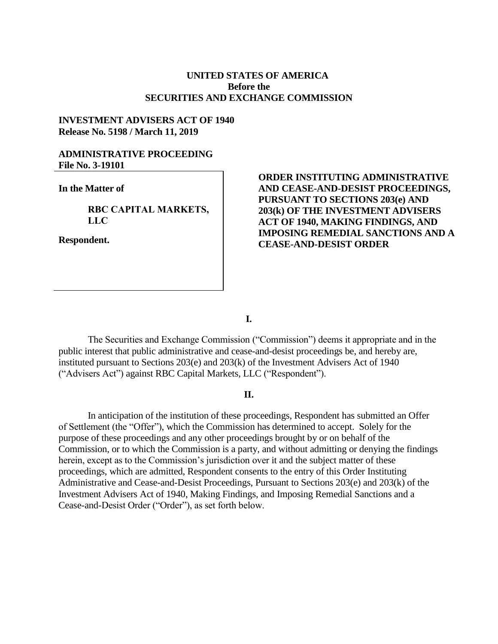### **UNITED STATES OF AMERICA Before the SECURITIES AND EXCHANGE COMMISSION**

### **INVESTMENT ADVISERS ACT OF 1940 Release No. 5198 / March 11, 2019**

### **ADMINISTRATIVE PROCEEDING File No. 3-19101**

**In the Matter of**

**RBC CAPITAL MARKETS, LLC**

**Respondent.**

## **ORDER INSTITUTING ADMINISTRATIVE AND CEASE-AND-DESIST PROCEEDINGS, PURSUANT TO SECTIONS 203(e) AND 203(k) OF THE INVESTMENT ADVISERS ACT OF 1940, MAKING FINDINGS, AND IMPOSING REMEDIAL SANCTIONS AND A CEASE-AND-DESIST ORDER**

**I.**

The Securities and Exchange Commission ("Commission") deems it appropriate and in the public interest that public administrative and cease-and-desist proceedings be, and hereby are, instituted pursuant to Sections 203(e) and 203(k) of the Investment Advisers Act of 1940 ("Advisers Act") against RBC Capital Markets, LLC ("Respondent").

### **II.**

In anticipation of the institution of these proceedings, Respondent has submitted an Offer of Settlement (the "Offer"), which the Commission has determined to accept. Solely for the purpose of these proceedings and any other proceedings brought by or on behalf of the Commission, or to which the Commission is a party, and without admitting or denying the findings herein, except as to the Commission's jurisdiction over it and the subject matter of these proceedings, which are admitted, Respondent consents to the entry of this Order Instituting Administrative and Cease-and-Desist Proceedings, Pursuant to Sections 203(e) and 203(k) of the Investment Advisers Act of 1940, Making Findings, and Imposing Remedial Sanctions and a Cease-and-Desist Order ("Order"), as set forth below.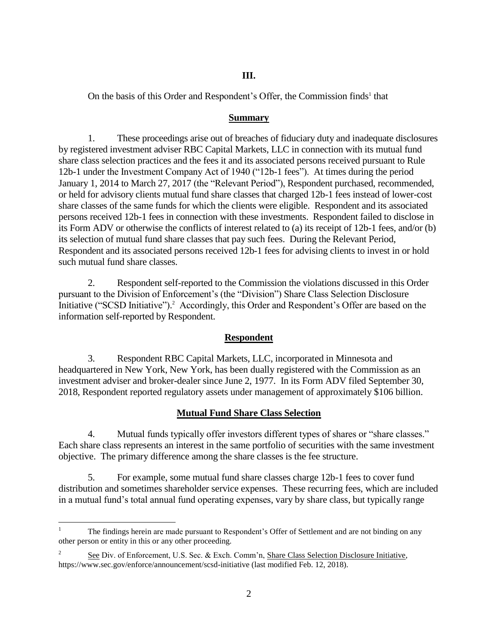## **III.**

On the basis of this Order and Respondent's Offer, the Commission finds<sup>1</sup> that

### **Summary**

1. These proceedings arise out of breaches of fiduciary duty and inadequate disclosures by registered investment adviser RBC Capital Markets, LLC in connection with its mutual fund share class selection practices and the fees it and its associated persons received pursuant to Rule 12b-1 under the Investment Company Act of 1940 ("12b-1 fees"). At times during the period January 1, 2014 to March 27, 2017 (the "Relevant Period"), Respondent purchased, recommended, or held for advisory clients mutual fund share classes that charged 12b-1 fees instead of lower-cost share classes of the same funds for which the clients were eligible. Respondent and its associated persons received 12b-1 fees in connection with these investments. Respondent failed to disclose in its Form ADV or otherwise the conflicts of interest related to (a) its receipt of 12b-1 fees, and/or (b) its selection of mutual fund share classes that pay such fees. During the Relevant Period, Respondent and its associated persons received 12b-1 fees for advising clients to invest in or hold such mutual fund share classes.

2. Respondent self-reported to the Commission the violations discussed in this Order pursuant to the Division of Enforcement's (the "Division") Share Class Selection Disclosure Initiative ("SCSD Initiative"). 2 Accordingly, this Order and Respondent's Offer are based on the information self-reported by Respondent.

# **Respondent**

3. Respondent RBC Capital Markets, LLC, incorporated in Minnesota and headquartered in New York, New York, has been dually registered with the Commission as an investment adviser and broker-dealer since June 2, 1977. In its Form ADV filed September 30, 2018, Respondent reported regulatory assets under management of approximately \$106 billion.

# **Mutual Fund Share Class Selection**

4. Mutual funds typically offer investors different types of shares or "share classes." Each share class represents an interest in the same portfolio of securities with the same investment objective. The primary difference among the share classes is the fee structure.

5. For example, some mutual fund share classes charge 12b-1 fees to cover fund distribution and sometimes shareholder service expenses. These recurring fees, which are included in a mutual fund's total annual fund operating expenses, vary by share class, but typically range

 $\overline{a}$ <sup>1</sup> The findings herein are made pursuant to Respondent's Offer of Settlement and are not binding on any other person or entity in this or any other proceeding.

<sup>2</sup> See Div. of Enforcement, U.S. Sec. & Exch. Comm'n, Share Class Selection Disclosure Initiative, https://www.sec.gov/enforce/announcement/scsd-initiative (last modified Feb. 12, 2018).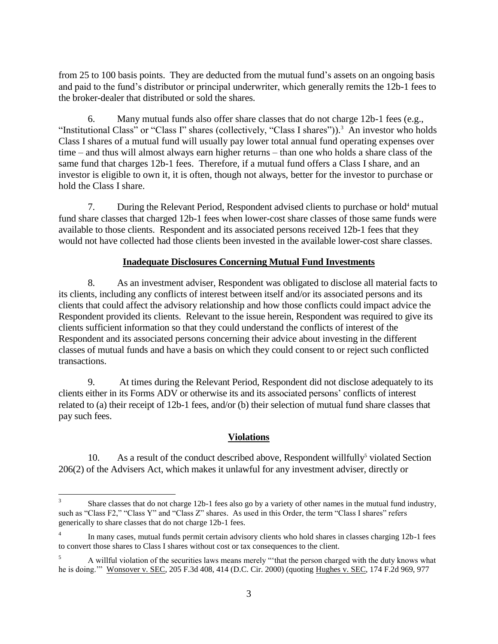from 25 to 100 basis points. They are deducted from the mutual fund's assets on an ongoing basis and paid to the fund's distributor or principal underwriter, which generally remits the 12b-1 fees to the broker-dealer that distributed or sold the shares.

6. Many mutual funds also offer share classes that do not charge 12b-1 fees (e.g., "Institutional Class" or "Class I" shares (collectively, "Class I shares")).<sup>3</sup> An investor who holds Class I shares of a mutual fund will usually pay lower total annual fund operating expenses over time – and thus will almost always earn higher returns – than one who holds a share class of the same fund that charges 12b-1 fees. Therefore, if a mutual fund offers a Class I share, and an investor is eligible to own it, it is often, though not always, better for the investor to purchase or hold the Class I share.

7. During the Relevant Period, Respondent advised clients to purchase or hold<sup>4</sup> mutual fund share classes that charged 12b-1 fees when lower-cost share classes of those same funds were available to those clients. Respondent and its associated persons received 12b-1 fees that they would not have collected had those clients been invested in the available lower-cost share classes.

### **Inadequate Disclosures Concerning Mutual Fund Investments**

8. As an investment adviser, Respondent was obligated to disclose all material facts to its clients, including any conflicts of interest between itself and/or its associated persons and its clients that could affect the advisory relationship and how those conflicts could impact advice the Respondent provided its clients. Relevant to the issue herein, Respondent was required to give its clients sufficient information so that they could understand the conflicts of interest of the Respondent and its associated persons concerning their advice about investing in the different classes of mutual funds and have a basis on which they could consent to or reject such conflicted transactions.

9. At times during the Relevant Period, Respondent did not disclose adequately to its clients either in its Forms ADV or otherwise its and its associated persons' conflicts of interest related to (a) their receipt of 12b-1 fees, and/or (b) their selection of mutual fund share classes that pay such fees.

### **Violations**

10. As a result of the conduct described above, Respondent willfully<sup>5</sup> violated Section 206(2) of the Advisers Act, which makes it unlawful for any investment adviser, directly or

<sup>&</sup>lt;sup>2</sup><br>3 Share classes that do not charge 12b-1 fees also go by a variety of other names in the mutual fund industry, such as "Class F2," "Class Y" and "Class Z" shares. As used in this Order, the term "Class I shares" refers generically to share classes that do not charge 12b-1 fees.

<sup>4</sup> In many cases, mutual funds permit certain advisory clients who hold shares in classes charging 12b-1 fees to convert those shares to Class I shares without cost or tax consequences to the client.

<sup>5</sup> A willful violation of the securities laws means merely "'that the person charged with the duty knows what he is doing.'" Wonsover v. SEC, 205 F.3d 408, 414 (D.C. Cir. 2000) (quoting Hughes v. SEC, 174 F.2d 969, 977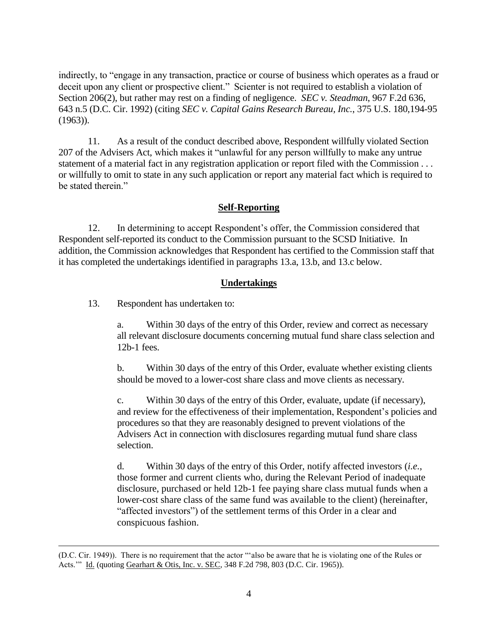indirectly, to "engage in any transaction, practice or course of business which operates as a fraud or deceit upon any client or prospective client." Scienter is not required to establish a violation of Section 206(2), but rather may rest on a finding of negligence. *SEC v. Steadman*, 967 F.2d 636, 643 n.5 (D.C. Cir. 1992) (citing *SEC v. Capital Gains Research Bureau, Inc.*, 375 U.S. 180,194-95 (1963)).

11. As a result of the conduct described above, Respondent willfully violated Section 207 of the Advisers Act, which makes it "unlawful for any person willfully to make any untrue statement of a material fact in any registration application or report filed with the Commission . . . or willfully to omit to state in any such application or report any material fact which is required to be stated therein."

### **Self-Reporting**

12. In determining to accept Respondent's offer, the Commission considered that Respondent self-reported its conduct to the Commission pursuant to the SCSD Initiative. In addition, the Commission acknowledges that Respondent has certified to the Commission staff that it has completed the undertakings identified in paragraphs 13.a, 13.b, and 13.c below.

#### **Undertakings**

13. Respondent has undertaken to:

 $\overline{a}$ 

a. Within 30 days of the entry of this Order, review and correct as necessary all relevant disclosure documents concerning mutual fund share class selection and 12b-1 fees.

b. Within 30 days of the entry of this Order, evaluate whether existing clients should be moved to a lower-cost share class and move clients as necessary.

c. Within 30 days of the entry of this Order, evaluate, update (if necessary), and review for the effectiveness of their implementation, Respondent's policies and procedures so that they are reasonably designed to prevent violations of the Advisers Act in connection with disclosures regarding mutual fund share class selection.

d. Within 30 days of the entry of this Order, notify affected investors (*i.e.*, those former and current clients who, during the Relevant Period of inadequate disclosure, purchased or held 12b-1 fee paying share class mutual funds when a lower-cost share class of the same fund was available to the client) (hereinafter, "affected investors") of the settlement terms of this Order in a clear and conspicuous fashion.

<sup>(</sup>D.C. Cir. 1949)). There is no requirement that the actor "'also be aware that he is violating one of the Rules or Acts.'" Id. (quoting Gearhart & Otis, Inc. v. SEC, 348 F.2d 798, 803 (D.C. Cir. 1965)).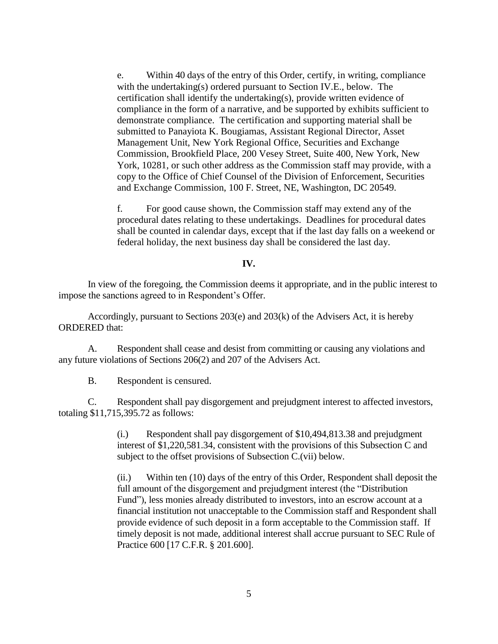e. Within 40 days of the entry of this Order, certify, in writing, compliance with the undertaking(s) ordered pursuant to Section IV.E., below. The certification shall identify the undertaking(s), provide written evidence of compliance in the form of a narrative, and be supported by exhibits sufficient to demonstrate compliance. The certification and supporting material shall be submitted to Panayiota K. Bougiamas, Assistant Regional Director, Asset Management Unit, New York Regional Office, Securities and Exchange Commission, Brookfield Place, 200 Vesey Street, Suite 400, New York, New York, 10281, or such other address as the Commission staff may provide, with a copy to the Office of Chief Counsel of the Division of Enforcement, Securities and Exchange Commission, 100 F. Street, NE, Washington, DC 20549.

f. For good cause shown, the Commission staff may extend any of the procedural dates relating to these undertakings. Deadlines for procedural dates shall be counted in calendar days, except that if the last day falls on a weekend or federal holiday, the next business day shall be considered the last day.

#### **IV.**

In view of the foregoing, the Commission deems it appropriate, and in the public interest to impose the sanctions agreed to in Respondent's Offer.

Accordingly, pursuant to Sections 203(e) and 203(k) of the Advisers Act, it is hereby ORDERED that:

A. Respondent shall cease and desist from committing or causing any violations and any future violations of Sections 206(2) and 207 of the Advisers Act.

B. Respondent is censured.

C. Respondent shall pay disgorgement and prejudgment interest to affected investors, totaling \$11,715,395.72 as follows:

> (i.) Respondent shall pay disgorgement of \$10,494,813.38 and prejudgment interest of \$1,220,581.34, consistent with the provisions of this Subsection C and subject to the offset provisions of Subsection C.(vii) below.

(ii.) Within ten (10) days of the entry of this Order, Respondent shall deposit the full amount of the disgorgement and prejudgment interest (the "Distribution Fund"), less monies already distributed to investors, into an escrow account at a financial institution not unacceptable to the Commission staff and Respondent shall provide evidence of such deposit in a form acceptable to the Commission staff. If timely deposit is not made, additional interest shall accrue pursuant to SEC Rule of Practice 600 [17 C.F.R. § 201.600].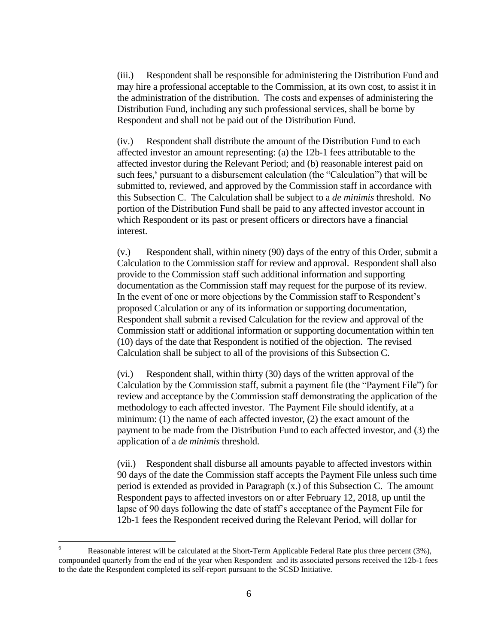(iii.) Respondent shall be responsible for administering the Distribution Fund and may hire a professional acceptable to the Commission, at its own cost, to assist it in the administration of the distribution. The costs and expenses of administering the Distribution Fund, including any such professional services, shall be borne by Respondent and shall not be paid out of the Distribution Fund.

(iv.) Respondent shall distribute the amount of the Distribution Fund to each affected investor an amount representing: (a) the 12b-1 fees attributable to the affected investor during the Relevant Period; and (b) reasonable interest paid on such fees, 6 pursuant to a disbursement calculation (the "Calculation") that will be submitted to, reviewed, and approved by the Commission staff in accordance with this Subsection C. The Calculation shall be subject to a *de minimis* threshold. No portion of the Distribution Fund shall be paid to any affected investor account in which Respondent or its past or present officers or directors have a financial interest.

(v.) Respondent shall, within ninety (90) days of the entry of this Order, submit a Calculation to the Commission staff for review and approval. Respondent shall also provide to the Commission staff such additional information and supporting documentation as the Commission staff may request for the purpose of its review. In the event of one or more objections by the Commission staff to Respondent's proposed Calculation or any of its information or supporting documentation, Respondent shall submit a revised Calculation for the review and approval of the Commission staff or additional information or supporting documentation within ten (10) days of the date that Respondent is notified of the objection. The revised Calculation shall be subject to all of the provisions of this Subsection C.

(vi.) Respondent shall, within thirty (30) days of the written approval of the Calculation by the Commission staff, submit a payment file (the "Payment File") for review and acceptance by the Commission staff demonstrating the application of the methodology to each affected investor. The Payment File should identify, at a minimum: (1) the name of each affected investor, (2) the exact amount of the payment to be made from the Distribution Fund to each affected investor, and (3) the application of a *de minimis* threshold.

(vii.) Respondent shall disburse all amounts payable to affected investors within 90 days of the date the Commission staff accepts the Payment File unless such time period is extended as provided in Paragraph (x.) of this Subsection C. The amount Respondent pays to affected investors on or after February 12, 2018, up until the lapse of 90 days following the date of staff's acceptance of the Payment File for 12b-1 fees the Respondent received during the Relevant Period, will dollar for

 $\overline{a}$ 

<sup>6</sup> Reasonable interest will be calculated at the Short-Term Applicable Federal Rate plus three percent (3%), compounded quarterly from the end of the year when Respondent and its associated persons received the 12b-1 fees to the date the Respondent completed its self-report pursuant to the SCSD Initiative.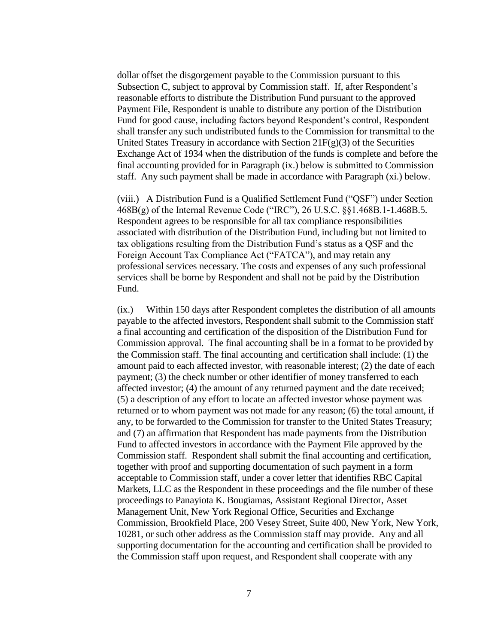dollar offset the disgorgement payable to the Commission pursuant to this Subsection C, subject to approval by Commission staff. If, after Respondent's reasonable efforts to distribute the Distribution Fund pursuant to the approved Payment File, Respondent is unable to distribute any portion of the Distribution Fund for good cause, including factors beyond Respondent's control, Respondent shall transfer any such undistributed funds to the Commission for transmittal to the United States Treasury in accordance with Section  $21F(g)(3)$  of the Securities Exchange Act of 1934 when the distribution of the funds is complete and before the final accounting provided for in Paragraph (ix.) below is submitted to Commission staff. Any such payment shall be made in accordance with Paragraph (xi.) below.

(viii.) A Distribution Fund is a Qualified Settlement Fund ("QSF") under Section 468B(g) of the Internal Revenue Code ("IRC"), 26 U.S.C. §§1.468B.1-1.468B.5. Respondent agrees to be responsible for all tax compliance responsibilities associated with distribution of the Distribution Fund, including but not limited to tax obligations resulting from the Distribution Fund's status as a QSF and the Foreign Account Tax Compliance Act ("FATCA"), and may retain any professional services necessary. The costs and expenses of any such professional services shall be borne by Respondent and shall not be paid by the Distribution Fund.

(ix.) Within 150 days after Respondent completes the distribution of all amounts payable to the affected investors, Respondent shall submit to the Commission staff a final accounting and certification of the disposition of the Distribution Fund for Commission approval. The final accounting shall be in a format to be provided by the Commission staff. The final accounting and certification shall include: (1) the amount paid to each affected investor, with reasonable interest; (2) the date of each payment; (3) the check number or other identifier of money transferred to each affected investor; (4) the amount of any returned payment and the date received; (5) a description of any effort to locate an affected investor whose payment was returned or to whom payment was not made for any reason; (6) the total amount, if any, to be forwarded to the Commission for transfer to the United States Treasury; and (7) an affirmation that Respondent has made payments from the Distribution Fund to affected investors in accordance with the Payment File approved by the Commission staff. Respondent shall submit the final accounting and certification, together with proof and supporting documentation of such payment in a form acceptable to Commission staff, under a cover letter that identifies RBC Capital Markets, LLC as the Respondent in these proceedings and the file number of these proceedings to Panayiota K. Bougiamas, Assistant Regional Director, Asset Management Unit, New York Regional Office, Securities and Exchange Commission, Brookfield Place, 200 Vesey Street, Suite 400, New York, New York, 10281, or such other address as the Commission staff may provide. Any and all supporting documentation for the accounting and certification shall be provided to the Commission staff upon request, and Respondent shall cooperate with any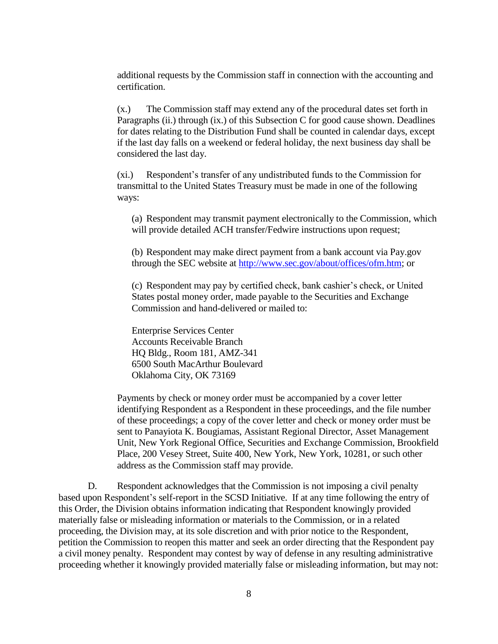additional requests by the Commission staff in connection with the accounting and certification.

(x.) The Commission staff may extend any of the procedural dates set forth in Paragraphs (ii.) through (ix.) of this Subsection C for good cause shown. Deadlines for dates relating to the Distribution Fund shall be counted in calendar days, except if the last day falls on a weekend or federal holiday, the next business day shall be considered the last day.

(xi.) Respondent's transfer of any undistributed funds to the Commission for transmittal to the United States Treasury must be made in one of the following ways:

(a) Respondent may transmit payment electronically to the Commission, which will provide detailed ACH transfer/Fedwire instructions upon request;

(b) Respondent may make direct payment from a bank account via Pay.gov through the SEC website at [http://www.sec.gov/about/offices/ofm.htm;](http://www.sec.gov/about/offices/ofm.htm) or

(c) Respondent may pay by certified check, bank cashier's check, or United States postal money order, made payable to the Securities and Exchange Commission and hand-delivered or mailed to:

Enterprise Services Center Accounts Receivable Branch HQ Bldg., Room 181, AMZ-341 6500 South MacArthur Boulevard Oklahoma City, OK 73169

Payments by check or money order must be accompanied by a cover letter identifying Respondent as a Respondent in these proceedings, and the file number of these proceedings; a copy of the cover letter and check or money order must be sent to Panayiota K. Bougiamas, Assistant Regional Director, Asset Management Unit, New York Regional Office, Securities and Exchange Commission, Brookfield Place, 200 Vesey Street, Suite 400, New York, New York, 10281, or such other address as the Commission staff may provide.

D. Respondent acknowledges that the Commission is not imposing a civil penalty based upon Respondent's self-report in the SCSD Initiative. If at any time following the entry of this Order, the Division obtains information indicating that Respondent knowingly provided materially false or misleading information or materials to the Commission, or in a related proceeding, the Division may, at its sole discretion and with prior notice to the Respondent, petition the Commission to reopen this matter and seek an order directing that the Respondent pay a civil money penalty. Respondent may contest by way of defense in any resulting administrative proceeding whether it knowingly provided materially false or misleading information, but may not: